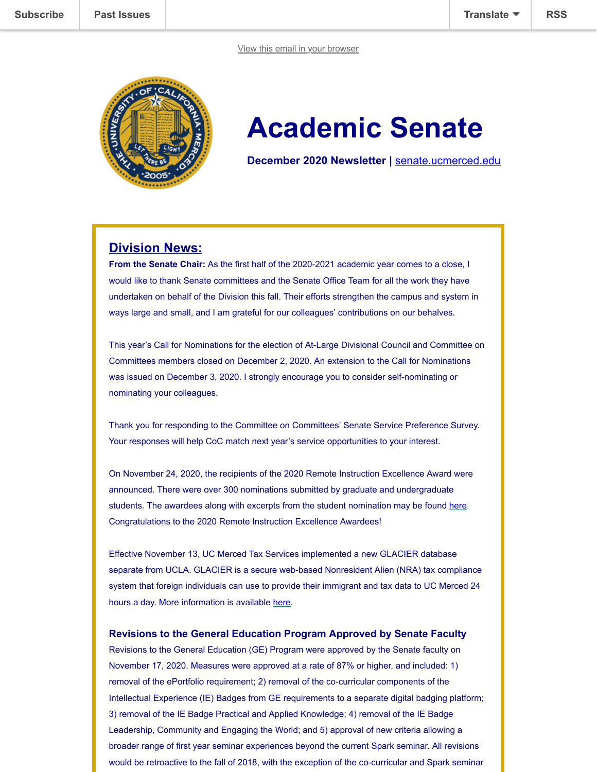

# **Academic Senate**

**December 2020 Newsletter |** [senate.ucmerced.edu](http://senate.ucmerced.edu/)

# **Division News:**

**From the Senate Chair:** As the first half of the 2020-2021 academic year comes to a close, I would like to thank Senate committees and the Senate Office Team for all the work they have undertaken on behalf of the Division this fall. Their efforts strengthen the campus and system in ways large and small, and I am grateful for our colleagues' contributions on our behalves.

This year's Call for Nominations for the election of At-Large Divisional Council and Committee on Committees members closed on December 2, 2020. An extension to the Call for Nominations was issued on December 3, 2020. I strongly encourage you to consider self-nominating or nominating your colleagues.

Thank you for responding to the Committee on Committees' Senate Service Preference Survey. Your responses will help CoC match next year's service opportunities to your interest.

On November 24, 2020, the recipients of the 2020 Remote Instruction Excellence Award were announced. There were over 300 nominations submitted by graduate and undergraduate students. The awardees along with excerpts from the student nomination may be found [here.](https://doyourpart.ucmerced.edu/node/3011) Congratulations to the 2020 Remote Instruction Excellence Awardees!

Effective November 13, UC Merced Tax Services implemented a new GLACIER database separate from UCLA. GLACIER is a secure web-based Nonresident Alien (NRA) tax compliance system that foreign individuals can use to provide their immigrant and tax data to UC Merced 24 hours a day. More information is available [here.](https://ucmerced.box.com/s/zt33i8xi8pga8u3cect08l9v2aujxq2h)

### **Revisions to the General Education Program Approved by Senate Faculty**

Revisions to the General Education (GE) Program were approved by the Senate faculty on November 17, 2020. Measures were approved at a rate of 87% or higher, and included: 1) removal of the ePortfolio requirement; 2) removal of the co-curricular components of the Intellectual Experience (IE) Badges from GE requirements to a separate digital badging platform; 3) removal of the IE Badge Practical and Applied Knowledge; 4) removal of the IE Badge Leadership, Community and Engaging the World; and 5) approval of new criteria allowing a broader range of first year seminar experiences beyond the current Spark seminar. All revisions would be retroactive to the fall of 2018, with the exception of the co-curricular and Spark seminar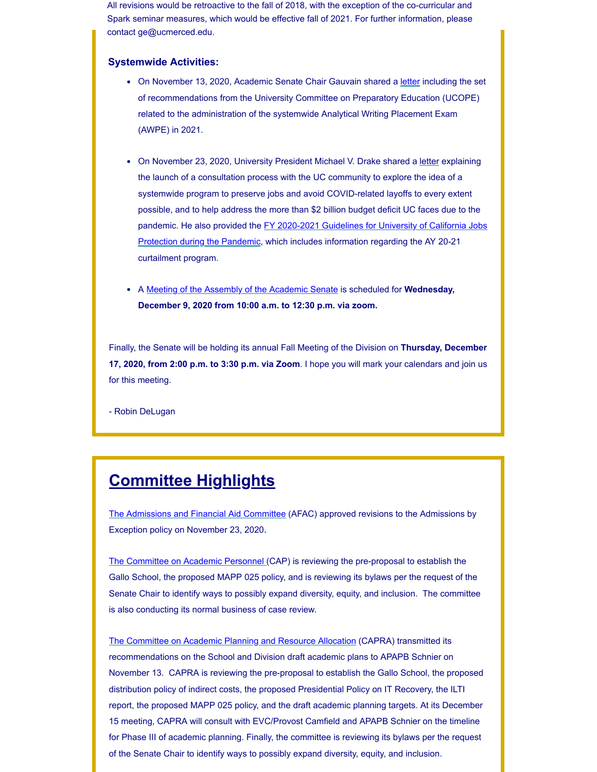[All revisions wo](https://us18.campaign-archive.com/home/?u=7a4be5fc797127c29f7d3935b&id=ca060935f8)uld be retroactive to the fall of 2018, with the exception of the co-curricular and Spark seminar measures, which would be effective fall of 2021. For further information, [please](javascript:;)  contact ge@ucmerced.edu.

#### **Systemwide Activities:**

- On November 13, 2020, Academic Senate Chair Gauvain shared a [letter](https://ucmerced.box.com/s/71tstcjbrmrmsl3qu6y4zw9cy4n79uo2) including the set of recommendations from the University Committee on Preparatory Education (UCOPE) related to the administration of the systemwide Analytical Writing Placement Exam (AWPE) in 2021.
- On November 23, 2020, University President Michael V. Drake shared a [letter](https://ucmerced.box.com/s/rdad86yrzi1jpdpw79cun12w837po5og) explaining the launch of a consultation process with the UC community to explore the idea of a systemwide program to preserve jobs and avoid COVID-related layoffs to every extent possible, and to help address the more than \$2 billion budget deficit UC faces due to the [pandemic. He also provided the FY 2020-2021 Guidelines for University of California Jobs](https://ucmerced.box.com/s/lba9d2400m6yxagqth84o1t5ir10iwkf) Protection during the Pandemic, which includes information regarding the AY 20-21 curtailment program.
- A [Meeting of the Assembly of the Academic Senate](https://senate.ucmerced.edu/sites/senate.ucmerced.edu/files/news/documents/december_2020_assembly_agenda.pdf) is scheduled for **Wednesday, December 9, 2020 from 10:00 a.m. to 12:30 p.m. via zoom.**

Finally, the Senate will be holding its annual Fall Meeting of the Division on **Thursday, December 17, 2020, from 2:00 p.m. to 3:30 p.m. via Zoom**. I hope you will mark your calendars and join us for this meeting.

- Robin DeLugan

# **Committee Highlights**

[The Admissions and Financial Aid Committee](https://senate.ucmerced.edu/committees/admissions-financial-aid-committee-afac) (AFAC) approved revisions to the Admissions by Exception policy on November 23, 2020.

[The Committee on Academic Personnel](https://senate.ucmerced.edu/CAP) (CAP) is reviewing the pre-proposal to establish the Gallo School, the proposed MAPP 025 policy, and is reviewing its bylaws per the request of the Senate Chair to identify ways to possibly expand diversity, equity, and inclusion. The committee is also conducting its normal business of case review.

[The Committee on Academic Planning and Resource Allocation](https://senate.ucmerced.edu/CAPRA) (CAPRA) transmitted its recommendations on the School and Division draft academic plans to APAPB Schnier on November 13. CAPRA is reviewing the pre-proposal to establish the Gallo School, the proposed distribution policy of indirect costs, the proposed Presidential Policy on IT Recovery, the ILTI report, the proposed MAPP 025 policy, and the draft academic planning targets. At its December 15 meeting, CAPRA will consult with EVC/Provost Camfield and APAPB Schnier on the timeline for Phase III of academic planning. Finally, the committee is reviewing its bylaws per the request of the Senate Chair to identify ways to possibly expand diversity, equity, and inclusion.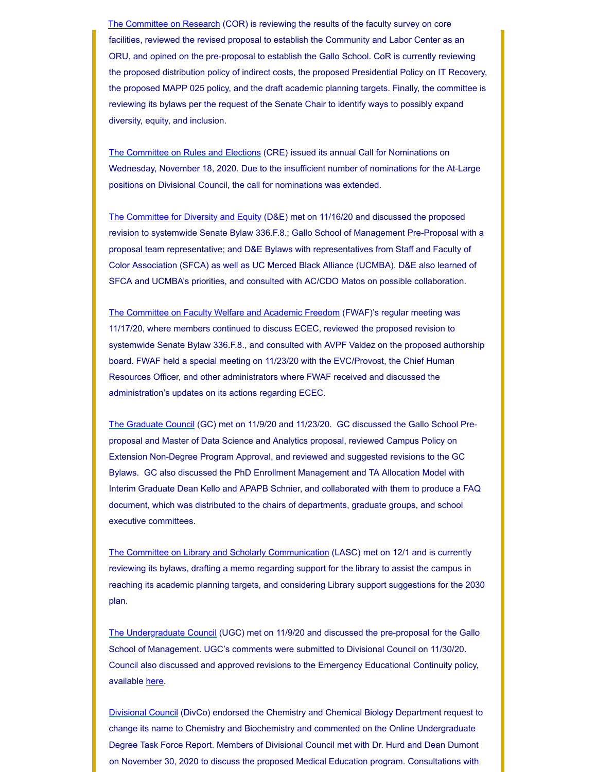facilities, reviewed the revised proposal to establish the Community and Labor Center as an ORU, and opined on the pre-proposal to establish the Gallo School. CoR is currently reviewing the proposed distribution policy of indirect costs, the proposed Presidential Policy on IT Recovery, the proposed MAPP 025 policy, and the draft academic planning targets. Finally, the committee is reviewing its bylaws per the request of the Senate Chair to identify ways to possibly expand diversity, equity, and inclusion. Th[e Committee on Resea](https://senate.ucmerced.edu/COR)rch (COR) is reviewing the results of the faculty survey on cor[e](javascript:;)

[The Committee on Rules and Elections](https://senate.ucmerced.edu/CRE) (CRE) issued its annual Call for Nominations on Wednesday, November 18, 2020. Due to the insufficient number of nominations for the At-Large positions on Divisional Council, the call for nominations was extended.

[The Committee for Diversity and Equity](https://senate.ucmerced.edu/DE) (D&E) met on 11/16/20 and discussed the proposed revision to systemwide Senate Bylaw 336.F.8.; Gallo School of Management Pre-Proposal with a proposal team representative; and D&E Bylaws with representatives from Staff and Faculty of Color Association (SFCA) as well as UC Merced Black Alliance (UCMBA). D&E also learned of SFCA and UCMBA's priorities, and consulted with AC/CDO Matos on possible collaboration.

[The Committee on Faculty Welfare and Academic Freedom](https://senate.ucmerced.edu/FWAF) (FWAF)'s regular meeting was 11/17/20, where members continued to discuss ECEC, reviewed the proposed revision to systemwide Senate Bylaw 336.F.8., and consulted with AVPF Valdez on the proposed authorship board. FWAF held a special meeting on 11/23/20 with the EVC/Provost, the Chief Human Resources Officer, and other administrators where FWAF received and discussed the administration's updates on its actions regarding ECEC.

[The Graduate Council](https://senate.ucmerced.edu/GC) (GC) met on 11/9/20 and 11/23/20. GC discussed the Gallo School Preproposal and Master of Data Science and Analytics proposal, reviewed Campus Policy on Extension Non-Degree Program Approval, and reviewed and suggested revisions to the GC Bylaws. GC also discussed the PhD Enrollment Management and TA Allocation Model with Interim Graduate Dean Kello and APAPB Schnier, and collaborated with them to produce a FAQ document, which was distributed to the chairs of departments, graduate groups, and school executive committees.

[The Committee on Library and Scholarly Communication](https://senate.ucmerced.edu/LASC) (LASC) met on 12/1 and is currently reviewing its bylaws, drafting a memo regarding support for the library to assist the campus in reaching its academic planning targets, and considering Library support suggestions for the 2030 plan.

[The Undergraduate Council](https://senate.ucmerced.edu/UGC) (UGC) met on 11/9/20 and discussed the pre-proposal for the Gallo School of Management. UGC's comments were submitted to Divisional Council on 11/30/20. Council also discussed and approved revisions to the Emergency Educational Continuity policy, available [here.](https://senate.ucmerced.edu/sites/senate.ucmerced.edu/files/documents/emergency_course_continuity_policy_approvednov13_2020.pdf)

[Divisional Council](https://senate.ucmerced.edu/DivCo) (DivCo) endorsed the Chemistry and Chemical Biology Department request to change its name to Chemistry and Biochemistry and commented on the Online Undergraduate Degree Task Force Report. Members of Divisional Council met with Dr. Hurd and Dean Dumont on November 30, 2020 to discuss the proposed Medical Education program. Consultations with